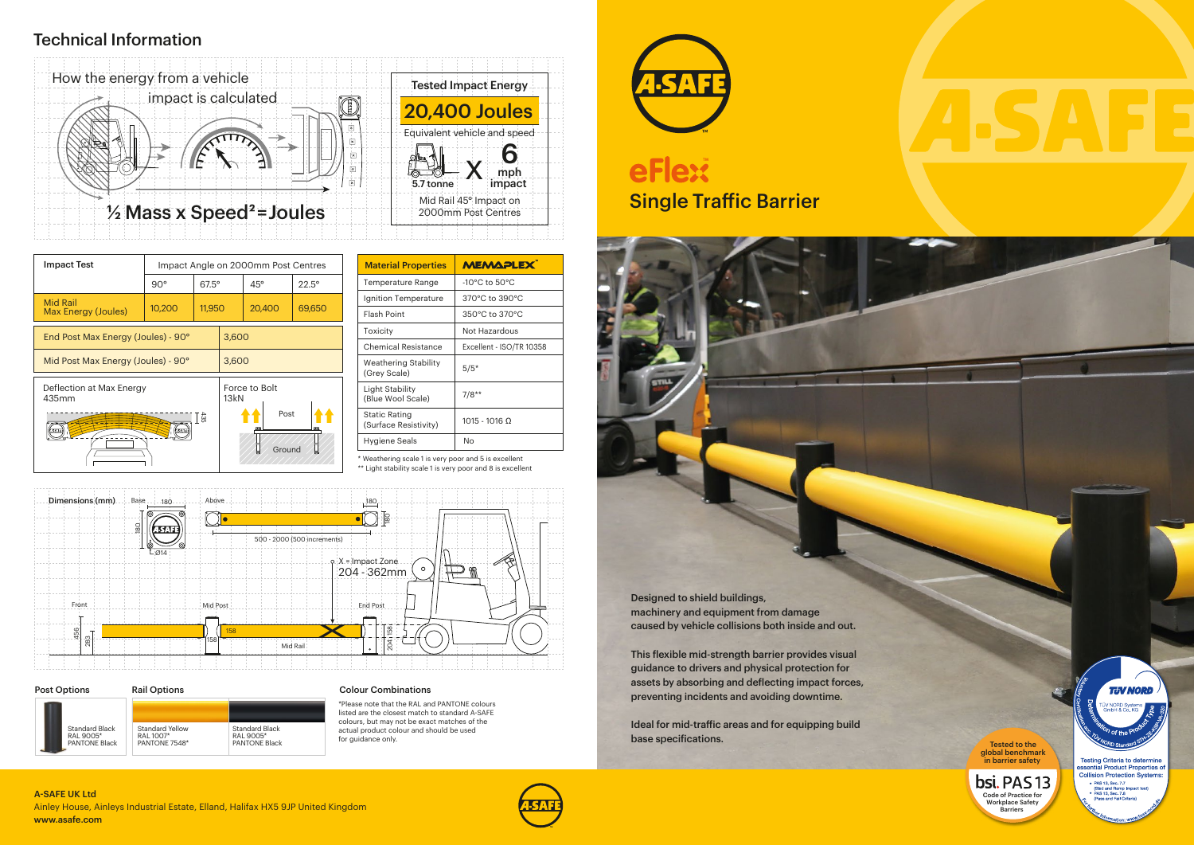### Colour Combinations

\*Please note that the RAL and PANTONE colours listed are the closest match to standard A-SAFE colours, but may not be exact matches of the actual product colour and should be used for guidance only.



# **eFlext**

## Technical Information

\* Weathering scale 1 is very poor and 5 is excellent

\*\* Light stability scale 1 is very poor and 8 is excellent

Ainley House, Ainleys Industrial Estate, Elland, Halifax HX5 9JP United Kingdom www.asafe.com A-SAFE UK Ltd



| <b>Material Properties</b>             | <b>MEMAPLEX</b>                    |  |  |  |
|----------------------------------------|------------------------------------|--|--|--|
| Temperature Range                      | $-10^{\circ}$ C to 50 $^{\circ}$ C |  |  |  |
| Ignition Temperature                   | 370°C to 390°C                     |  |  |  |
| <b>Flash Point</b>                     | 350°C to 370°C                     |  |  |  |
| Toxicity                               | Not Hazardous                      |  |  |  |
| Chemical Resistance                    | Excellent - ISO/TR 10358           |  |  |  |
| Weathering Stability<br>(Grey Scale)   | $5/5*$                             |  |  |  |
| Light Stability<br>(Blue Wool Scale)   | $7/8**$                            |  |  |  |
| Static Rating<br>(Surface Resistivity) | 1015 - 1016 0                      |  |  |  |
| Hygiene Seals                          | Nο                                 |  |  |  |





| <b>Impact Test</b>                                    | Impact Angle on 2000mm Post Centres |              |                                         |              |                |  |
|-------------------------------------------------------|-------------------------------------|--------------|-----------------------------------------|--------------|----------------|--|
|                                                       | $90^\circ$                          | $67.5^\circ$ |                                         | $45^{\circ}$ | $22.5^{\circ}$ |  |
| <b>Mid Rail</b><br>Max Energy (Joules)                | 10,200                              | 11,950       |                                         | 20,400       | 69,650         |  |
| End Post Max Energy (Joules) - 90°                    |                                     |              | 3,600                                   |              |                |  |
| Mid Post Max Energy (Joules) - 90°                    |                                     |              | 3,600                                   |              |                |  |
| Deflection at Max Energy<br>435mm<br>ន្ល<br> <br>स्ता |                                     |              | Force to Bolt<br>13kN<br>Post<br>Ground |              |                |  |



### Post Options Rail Options Standard Yellow RAL 1007\* PANTONE 7548\* Standard Black RAL 9005\* PANTONE Black Standard Black RAL 9005\* PANTONE Black